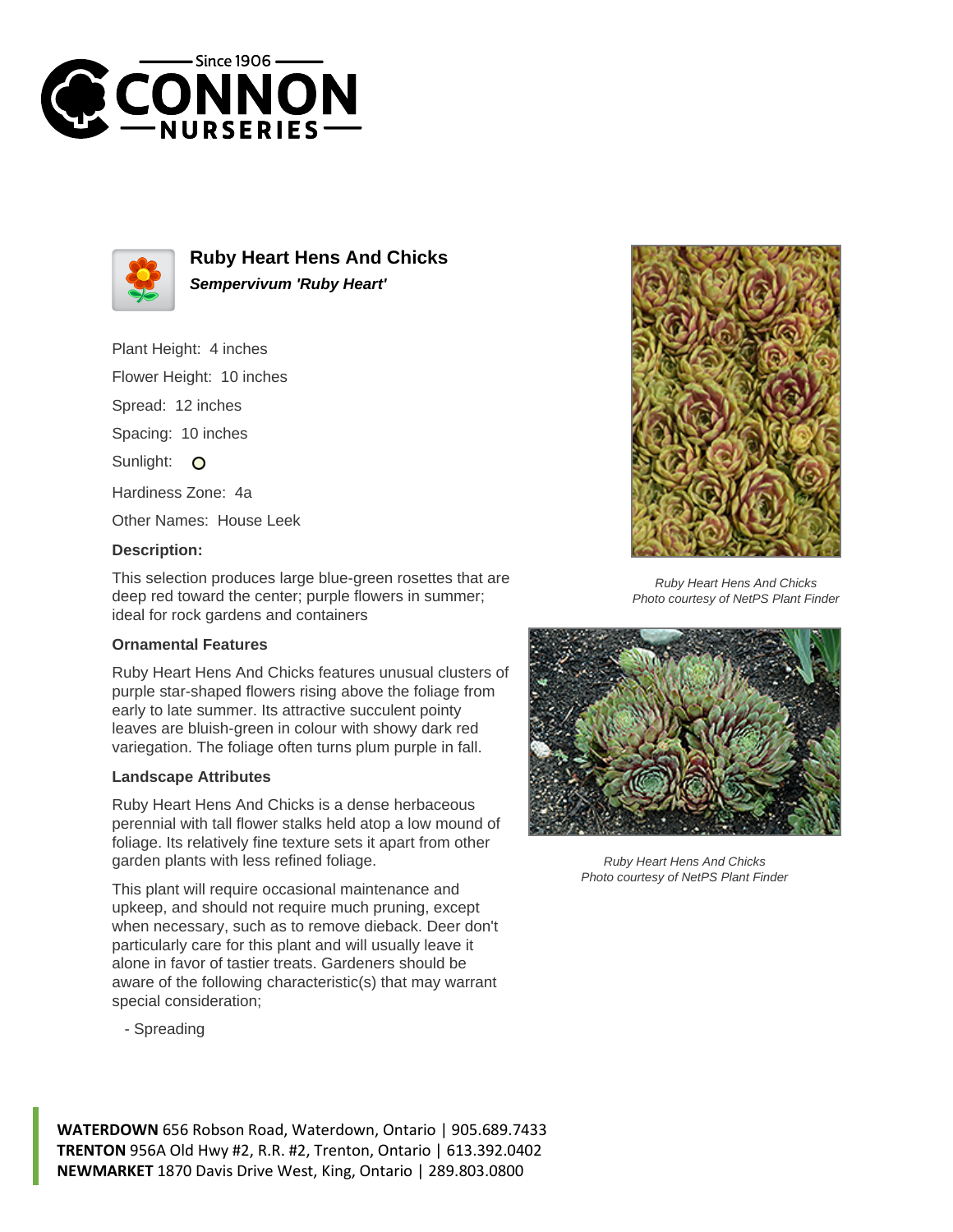



**Ruby Heart Hens And Chicks Sempervivum 'Ruby Heart'**

Plant Height: 4 inches

Flower Height: 10 inches

Spread: 12 inches

Spacing: 10 inches

Sunlight: O

Hardiness Zone: 4a

Other Names: House Leek

## **Description:**

This selection produces large blue-green rosettes that are deep red toward the center; purple flowers in summer; ideal for rock gardens and containers

## **Ornamental Features**

Ruby Heart Hens And Chicks features unusual clusters of purple star-shaped flowers rising above the foliage from early to late summer. Its attractive succulent pointy leaves are bluish-green in colour with showy dark red variegation. The foliage often turns plum purple in fall.

## **Landscape Attributes**

Ruby Heart Hens And Chicks is a dense herbaceous perennial with tall flower stalks held atop a low mound of foliage. Its relatively fine texture sets it apart from other garden plants with less refined foliage.

This plant will require occasional maintenance and upkeep, and should not require much pruning, except when necessary, such as to remove dieback. Deer don't particularly care for this plant and will usually leave it alone in favor of tastier treats. Gardeners should be aware of the following characteristic(s) that may warrant special consideration;

- Spreading



Ruby Heart Hens And Chicks Photo courtesy of NetPS Plant Finder



Ruby Heart Hens And Chicks Photo courtesy of NetPS Plant Finder

**WATERDOWN** 656 Robson Road, Waterdown, Ontario | 905.689.7433 **TRENTON** 956A Old Hwy #2, R.R. #2, Trenton, Ontario | 613.392.0402 **NEWMARKET** 1870 Davis Drive West, King, Ontario | 289.803.0800